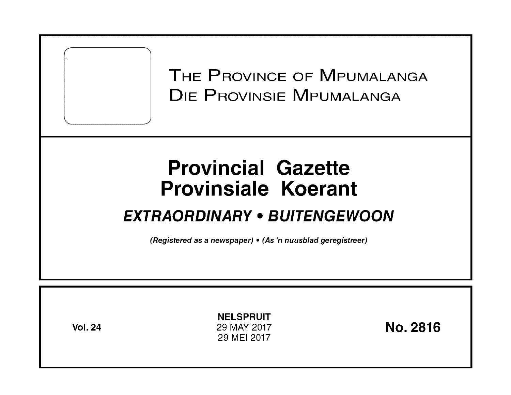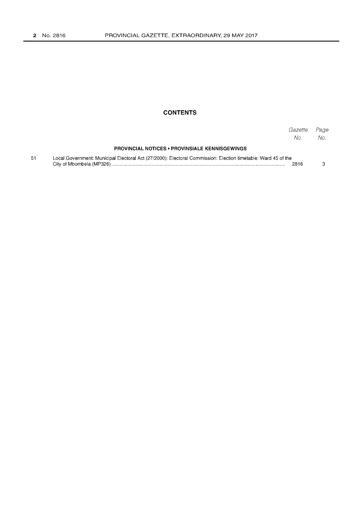# **CONTENTS**

|    |                                                                                                               | Gazette<br>No. | Page<br>No. |
|----|---------------------------------------------------------------------------------------------------------------|----------------|-------------|
|    | <b>PROVINCIAL NOTICES • PROVINSIALE KENNISGEWINGS</b>                                                         |                |             |
| 51 | Local Government: Municipal Electoral Act (27/2000): Electoral Commission: Election timetable: Ward 45 of the | 2816           |             |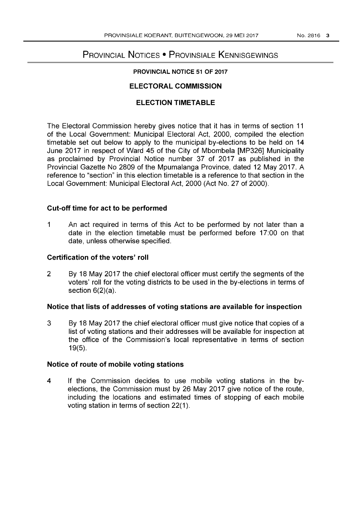# PROVINCIAL NOTICES • PROVINSIALE KENNISGEWINGS

# PROVINCIAL NOTICE 51 OF 2017

# ELECTORAL COMMISSION

# ELECTION TIMETABLE

The Electoral Commission hereby gives notice that it has in terms of section 11 of the Local Government: Municipal Electoral Act, 2000, compiled the election timetable set out below to apply to the municipal by-elections to be held on 14 June 2017 in respect of Ward 45 of the City of Mbombela [MP326] Municipality as proclaimed by Provincial Notice number 37 of 2017 as published in the Provincial Gazette No 2809 of the Mpumalanga Province, dated 12 May 2017. A reference to "section" in this election timetable is a reference to that section in the Local Government: Municipal Electoral Act, 2000 (Act No. 27 of 2000).

# Cut-off time for act to be performed

1 An act required in terms of this Act to be performed by not later than a date in the election timetable must be performed before 17:00 on that date, unless otherwise specified.

# Certification of the voters' roll

2 By 18 May 2017 the chief electoral officer must certify the segments of the voters' roll for the voting districts to be used in the by-elections in terms of section 6(2)(a).

#### Notice that lists of addresses of voting stations are available for inspection

3 By 18 May 2017 the chief electoral officer must give notice that copies of a list of voting stations and their addresses will be available for inspection at the office of the Commission's local representative in terms of section 19(5).

## Notice of route of mobile voting stations

4 If the Commission decides to use mobile voting stations in the byelections, the Commission must by 26 May 2017 give notice of the route, including the locations and estimated times of stopping of each mobile voting station in terms of section 22(1).